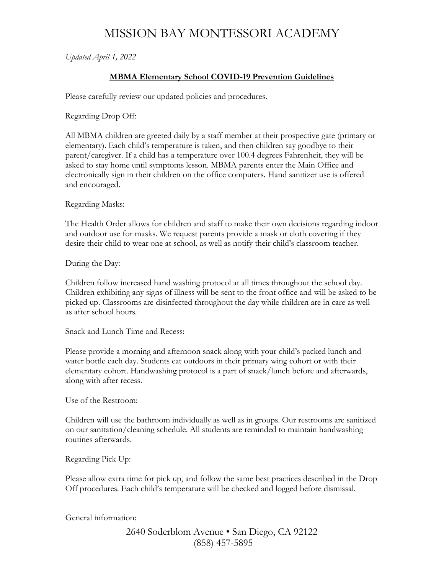## MISSION BAY MONTESSORI ACADEMY

*Updated April 1, 2022*

## **MBMA Elementary School COVID-19 Prevention Guidelines**

Please carefully review our updated policies and procedures.

Regarding Drop Off:

All MBMA children are greeted daily by a staff member at their prospective gate (primary or elementary). Each child's temperature is taken, and then children say goodbye to their parent/caregiver. If a child has a temperature over 100.4 degrees Fahrenheit, they will be asked to stay home until symptoms lesson. MBMA parents enter the Main Office and electronically sign in their children on the office computers. Hand sanitizer use is offered and encouraged.

Regarding Masks:

The Health Order allows for children and staff to make their own decisions regarding indoor and outdoor use for masks. We request parents provide a mask or cloth covering if they desire their child to wear one at school, as well as notify their child's classroom teacher.

During the Day:

Children follow increased hand washing protocol at all times throughout the school day. Children exhibiting any signs of illness will be sent to the front office and will be asked to be picked up. Classrooms are disinfected throughout the day while children are in care as well as after school hours.

Snack and Lunch Time and Recess:

Please provide a morning and afternoon snack along with your child's packed lunch and water bottle each day. Students eat outdoors in their primary wing cohort or with their elementary cohort. Handwashing protocol is a part of snack/lunch before and afterwards, along with after recess.

Use of the Restroom:

Children will use the bathroom individually as well as in groups. Our restrooms are sanitized on our sanitation/cleaning schedule. All students are reminded to maintain handwashing routines afterwards.

Regarding Pick Up:

Please allow extra time for pick up, and follow the same best practices described in the Drop Off procedures. Each child's temperature will be checked and logged before dismissal.

General information:

2640 Soderblom Avenue • San Diego, CA 92122 (858) 457-5895